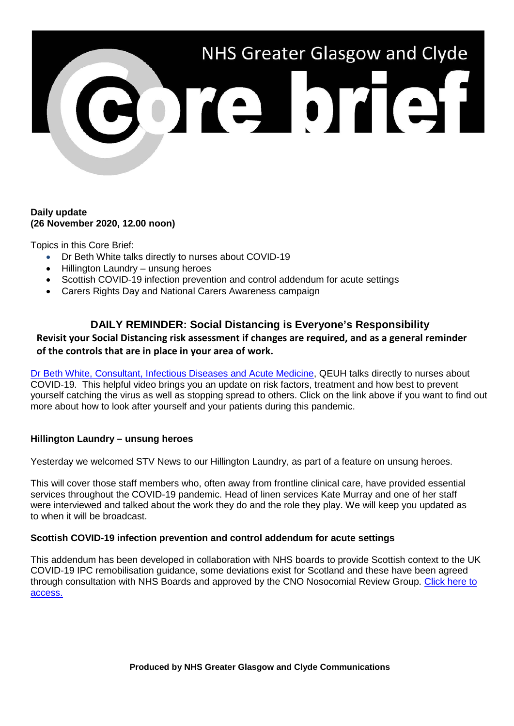

### **Daily update (26 November 2020, 12.00 noon)**

Topics in this Core Brief:

- Dr Beth White talks directly to nurses about COVID-19
- Hillington Laundry unsung heroes
- Scottish COVID-19 infection prevention and control addendum for acute settings
- Carers Rights Day and National Carers Awareness campaign

# **DAILY REMINDER: Social Distancing is Everyone's Responsibility**

# **Revisit your Social Distancing risk assessment if changes are required, and as a general reminder of the controls that are in place in your area of work.**

[Dr Beth White, Consultant, Infectious Diseases and Acute Medicine,](https://www.youtube.com/watch?v=5O4b6-4XsuE&feature=youtu.be) QEUH talks directly to nurses about COVID-19. This helpful video brings you an update on risk factors, treatment and how best to prevent yourself catching the virus as well as stopping spread to others. Click on the link above if you want to find out more about how to look after yourself and your patients during this pandemic.

# **Hillington Laundry – unsung heroes**

Yesterday we welcomed STV News to our Hillington Laundry, as part of a feature on unsung heroes.

This will cover those staff members who, often away from frontline clinical care, have provided essential services throughout the COVID-19 pandemic. Head of linen services Kate Murray and one of her staff were interviewed and talked about the work they do and the role they play. We will keep you updated as to when it will be broadcast.

### **Scottish COVID-19 infection prevention and control addendum for acute settings**

This addendum has been developed in collaboration with NHS boards to provide Scottish context to the UK COVID-19 IPC remobilisation guidance, some deviations exist for Scotland and these have been agreed through consultation with NHS Boards and approved by the CNO Nosocomial Review Group. [Click here to](http://www.nipcm.hps.scot.nhs.uk/scottish-covid-19-infection-prevention-and-control-addendum-for-acute-settings/)  [access.](http://www.nipcm.hps.scot.nhs.uk/scottish-covid-19-infection-prevention-and-control-addendum-for-acute-settings/)